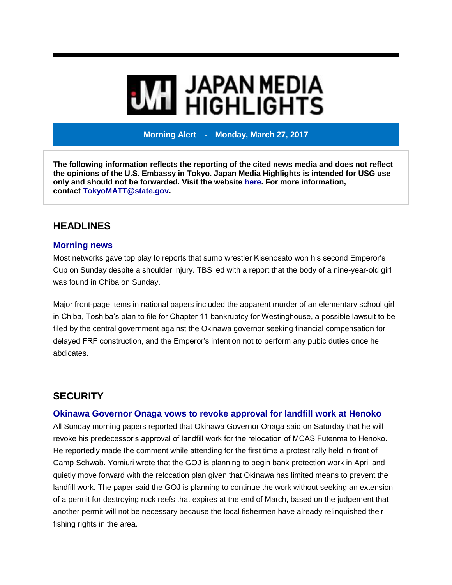# **MI** JAPAN MEDIA<br>MI HIGHLIGHTS

**Morning Alert - Monday, March 27, 2017**

**The following information reflects the reporting of the cited news media and does not reflect the opinions of the U.S. Embassy in Tokyo. Japan Media Highlights is intended for USG use only and should not be forwarded. Visit the website [here.](https://jmh.usembassy.gov/) For more information, contact [TokyoMATT@state.gov.](mailto:TokyoMATT@state.gov)**

# **HEADLINES**

#### **Morning news**

Most networks gave top play to reports that sumo wrestler Kisenosato won his second Emperor's Cup on Sunday despite a shoulder injury. TBS led with a report that the body of a nine-year-old girl was found in Chiba on Sunday.

Major front-page items in national papers included the apparent murder of an elementary school girl in Chiba, Toshiba's plan to file for Chapter 11 bankruptcy for Westinghouse, a possible lawsuit to be filed by the central government against the Okinawa governor seeking financial compensation for delayed FRF construction, and the Emperor's intention not to perform any pubic duties once he abdicates.

# **SECURITY**

# **Okinawa Governor Onaga vows to revoke approval for landfill work at Henoko**

All Sunday morning papers reported that Okinawa Governor Onaga said on Saturday that he will revoke his predecessor's approval of landfill work for the relocation of MCAS Futenma to Henoko. He reportedly made the comment while attending for the first time a protest rally held in front of Camp Schwab. Yomiuri wrote that the GOJ is planning to begin bank protection work in April and quietly move forward with the relocation plan given that Okinawa has limited means to prevent the landfill work. The paper said the GOJ is planning to continue the work without seeking an extension of a permit for destroying rock reefs that expires at the end of March, based on the judgement that another permit will not be necessary because the local fishermen have already relinquished their fishing rights in the area.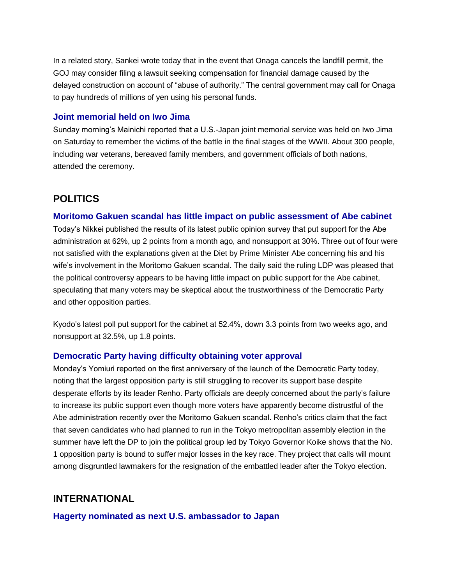In a related story, Sankei wrote today that in the event that Onaga cancels the landfill permit, the GOJ may consider filing a lawsuit seeking compensation for financial damage caused by the delayed construction on account of "abuse of authority." The central government may call for Onaga to pay hundreds of millions of yen using his personal funds.

### **Joint memorial held on Iwo Jima**

Sunday morning's Mainichi reported that a U.S.-Japan joint memorial service was held on Iwo Jima on Saturday to remember the victims of the battle in the final stages of the WWII. About 300 people, including war veterans, bereaved family members, and government officials of both nations, attended the ceremony.

# **POLITICS**

# **Moritomo Gakuen scandal has little impact on public assessment of Abe cabinet**

Today's Nikkei published the results of its latest public opinion survey that put support for the Abe administration at 62%, up 2 points from a month ago, and nonsupport at 30%. Three out of four were not satisfied with the explanations given at the Diet by Prime Minister Abe concerning his and his wife's involvement in the Moritomo Gakuen scandal. The daily said the ruling LDP was pleased that the political controversy appears to be having little impact on public support for the Abe cabinet, speculating that many voters may be skeptical about the trustworthiness of the Democratic Party and other opposition parties.

Kyodo's latest poll put support for the cabinet at 52.4%, down 3.3 points from two weeks ago, and nonsupport at 32.5%, up 1.8 points.

# **Democratic Party having difficulty obtaining voter approval**

Monday's Yomiuri reported on the first anniversary of the launch of the Democratic Party today, noting that the largest opposition party is still struggling to recover its support base despite desperate efforts by its leader Renho. Party officials are deeply concerned about the party's failure to increase its public support even though more voters have apparently become distrustful of the Abe administration recently over the Moritomo Gakuen scandal. Renho's critics claim that the fact that seven candidates who had planned to run in the Tokyo metropolitan assembly election in the summer have left the DP to join the political group led by Tokyo Governor Koike shows that the No. 1 opposition party is bound to suffer major losses in the key race. They project that calls will mount among disgruntled lawmakers for the resignation of the embattled leader after the Tokyo election.

# **INTERNATIONAL**

**Hagerty nominated as next U.S. ambassador to Japan**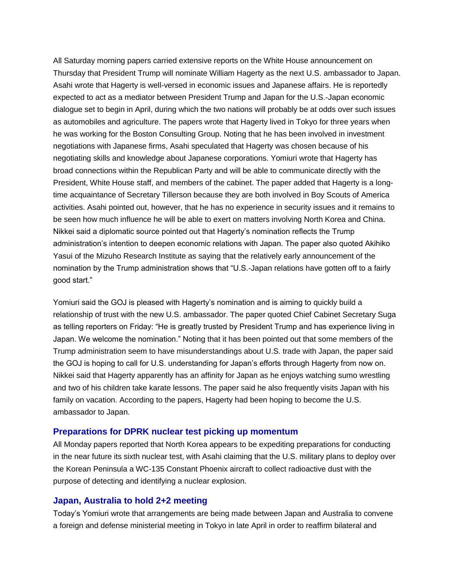All Saturday morning papers carried extensive reports on the White House announcement on Thursday that President Trump will nominate William Hagerty as the next U.S. ambassador to Japan. Asahi wrote that Hagerty is well-versed in economic issues and Japanese affairs. He is reportedly expected to act as a mediator between President Trump and Japan for the U.S.-Japan economic dialogue set to begin in April, during which the two nations will probably be at odds over such issues as automobiles and agriculture. The papers wrote that Hagerty lived in Tokyo for three years when he was working for the Boston Consulting Group. Noting that he has been involved in investment negotiations with Japanese firms, Asahi speculated that Hagerty was chosen because of his negotiating skills and knowledge about Japanese corporations. Yomiuri wrote that Hagerty has broad connections within the Republican Party and will be able to communicate directly with the President, White House staff, and members of the cabinet. The paper added that Hagerty is a longtime acquaintance of Secretary Tillerson because they are both involved in Boy Scouts of America activities. Asahi pointed out, however, that he has no experience in security issues and it remains to be seen how much influence he will be able to exert on matters involving North Korea and China. Nikkei said a diplomatic source pointed out that Hagerty's nomination reflects the Trump administration's intention to deepen economic relations with Japan. The paper also quoted Akihiko Yasui of the Mizuho Research Institute as saying that the relatively early announcement of the nomination by the Trump administration shows that "U.S.-Japan relations have gotten off to a fairly good start."

Yomiuri said the GOJ is pleased with Hagerty's nomination and is aiming to quickly build a relationship of trust with the new U.S. ambassador. The paper quoted Chief Cabinet Secretary Suga as telling reporters on Friday: "He is greatly trusted by President Trump and has experience living in Japan. We welcome the nomination." Noting that it has been pointed out that some members of the Trump administration seem to have misunderstandings about U.S. trade with Japan, the paper said the GOJ is hoping to call for U.S. understanding for Japan's efforts through Hagerty from now on. Nikkei said that Hagerty apparently has an affinity for Japan as he enjoys watching sumo wrestling and two of his children take karate lessons. The paper said he also frequently visits Japan with his family on vacation. According to the papers, Hagerty had been hoping to become the U.S. ambassador to Japan.

#### **Preparations for DPRK nuclear test picking up momentum**

All Monday papers reported that North Korea appears to be expediting preparations for conducting in the near future its sixth nuclear test, with Asahi claiming that the U.S. military plans to deploy over the Korean Peninsula a WC-135 Constant Phoenix aircraft to collect radioactive dust with the purpose of detecting and identifying a nuclear explosion.

#### **Japan, Australia to hold 2+2 meeting**

Today's Yomiuri wrote that arrangements are being made between Japan and Australia to convene a foreign and defense ministerial meeting in Tokyo in late April in order to reaffirm bilateral and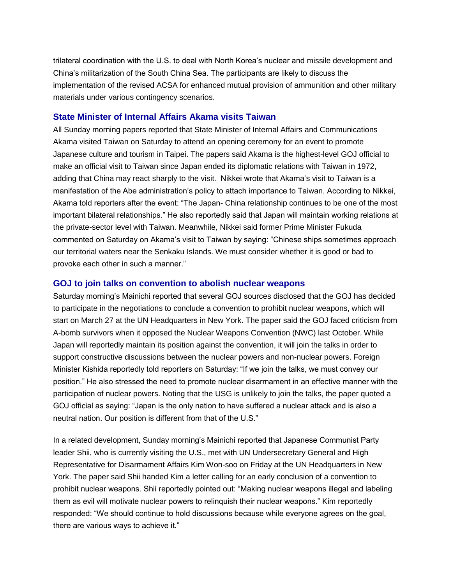trilateral coordination with the U.S. to deal with North Korea's nuclear and missile development and China's militarization of the South China Sea. The participants are likely to discuss the implementation of the revised ACSA for enhanced mutual provision of ammunition and other military materials under various contingency scenarios.

#### **State Minister of Internal Affairs Akama visits Taiwan**

All Sunday morning papers reported that State Minister of Internal Affairs and Communications Akama visited Taiwan on Saturday to attend an opening ceremony for an event to promote Japanese culture and tourism in Taipei. The papers said Akama is the highest-level GOJ official to make an official visit to Taiwan since Japan ended its diplomatic relations with Taiwan in 1972, adding that China may react sharply to the visit. Nikkei wrote that Akama's visit to Taiwan is a manifestation of the Abe administration's policy to attach importance to Taiwan. According to Nikkei, Akama told reporters after the event: "The Japan- China relationship continues to be one of the most important bilateral relationships." He also reportedly said that Japan will maintain working relations at the private-sector level with Taiwan. Meanwhile, Nikkei said former Prime Minister Fukuda commented on Saturday on Akama's visit to Taiwan by saying: "Chinese ships sometimes approach our territorial waters near the Senkaku Islands. We must consider whether it is good or bad to provoke each other in such a manner."

#### **GOJ to join talks on convention to abolish nuclear weapons**

Saturday morning's Mainichi reported that several GOJ sources disclosed that the GOJ has decided to participate in the negotiations to conclude a convention to prohibit nuclear weapons, which will start on March 27 at the UN Headquarters in New York. The paper said the GOJ faced criticism from A-bomb survivors when it opposed the Nuclear Weapons Convention (NWC) last October. While Japan will reportedly maintain its position against the convention, it will join the talks in order to support constructive discussions between the nuclear powers and non-nuclear powers. Foreign Minister Kishida reportedly told reporters on Saturday: "If we join the talks, we must convey our position." He also stressed the need to promote nuclear disarmament in an effective manner with the participation of nuclear powers. Noting that the USG is unlikely to join the talks, the paper quoted a GOJ official as saying: "Japan is the only nation to have suffered a nuclear attack and is also a neutral nation. Our position is different from that of the U.S."

In a related development, Sunday morning's Mainichi reported that Japanese Communist Party leader Shii, who is currently visiting the U.S., met with UN Undersecretary General and High Representative for Disarmament Affairs Kim Won-soo on Friday at the UN Headquarters in New York. The paper said Shii handed Kim a letter calling for an early conclusion of a convention to prohibit nuclear weapons. Shii reportedly pointed out: "Making nuclear weapons illegal and labeling them as evil will motivate nuclear powers to relinquish their nuclear weapons." Kim reportedly responded: "We should continue to hold discussions because while everyone agrees on the goal, there are various ways to achieve it."